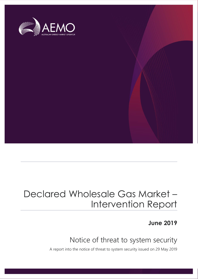

## Declared Wholesale Gas Market – Intervention Report

**June 2019**

## Notice of threat to system security

A report into the notice of threat to system security issued on 29 May 2019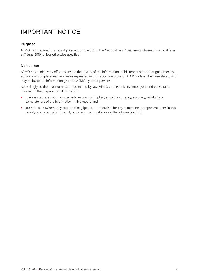## IMPORTANT NOTICE

#### **Purpose**

AEMO has prepared this report pursuant to rule 351 of the National Gas Rules, using information available as at 7 June 2019, unless otherwise specified.

#### **Disclaimer**

AEMO has made every effort to ensure the quality of the information in this report but cannot guarantee its accuracy or completeness. Any views expressed in this report are those of AEMO unless otherwise stated, and may be based on information given to AEMO by other persons.

Accordingly, to the maximum extent permitted by law, AEMO and its officers, employees and consultants involved in the preparation of this report:

- make no representation or warranty, express or implied, as to the currency, accuracy, reliability or completeness of the information in this report; and
- are not liable (whether by reason of negligence or otherwise) for any statements or representations in this report, or any omissions from it, or for any use or reliance on the information in it.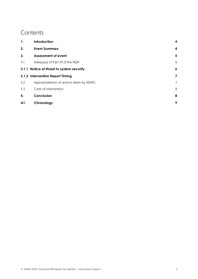### **Contents**

| 1.  | Introduction                              | 4                |
|-----|-------------------------------------------|------------------|
| 2.  | <b>Event Summary</b>                      | 4                |
| 3.  | <b>Assessment of event</b>                | 5                |
| 3.1 | Adequacy of Part 19 of the NGR            | 6                |
|     | 3.1.1 Notice of threat to system security | $\boldsymbol{6}$ |
|     | 3.1.2 Intervention Report Timing          | 7                |
| 3.2 | Appropriateness of actions taken by AEMO  | 7                |
| 3.3 | Costs of intervention                     | 8                |
| 4.  | Conclusion                                | 8                |
| A1. | Chronology                                | 9                |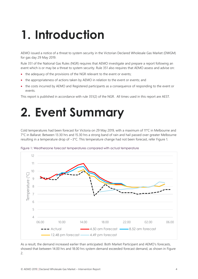# <span id="page-3-0"></span>**1. Introduction**

AEMO issued a notice of a threat to system security in the Victorian Declared Wholesale Gas Market (DWGM) for gas day 29 May 2019.

Rule 351 of the National Gas Rules (NGR) requires that AEMO investigate and prepare a report following an event which is or may be a threat to system security. Rule 351 also requires that AEMO assess and advise on:

- the adequacy of the provisions of the NGR relevant to the event or events;
- the appropriateness of actions taken by AEMO in relation to the event or events; and
- the costs incurred by AEMO and Registered participants as a consequence of responding to the event or events.

This report is published in accordance with rule 351(2) of the NGR. All times used in this report are AEST.

# <span id="page-3-1"></span>**2. Event Summary**

Cold temperatures had been forecast for Victoria on 29 May 2019, with a maximum of 11°C in Melbourne and 7°C in Ballarat. Between 13.30 hrs and 15.30 hrs a strong band of rain and hail passed over greater Melbourne resulting in a temperature drop of ~3°C. This temperature change had not been forecast, refer [Figure 1.](#page-3-2)



<span id="page-3-2"></span>Figure 1: Weatherzone forecast temperatures compared with actual temperature

As a result, the demand increased earlier than anticipated. Both Market Participant and AEMO's forecasts, showed that between 14.00 hrs and 18.00 hrs system demand exceeded forecast demand, as shown in [Figure](#page-4-1)  [2.](#page-4-1)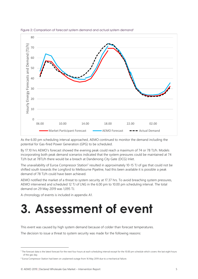

<span id="page-4-1"></span>

As the 6.00 pm scheduling interval approached, AEMO continued to monitor the demand including the potential for Gas-fired Power Generation (GPG) to be scheduled.

By 17.10 hrs AEMO's forecast showed the evening peak could reach a maximum of 74 or 78 TJ/h. Models incorporating both peak demand scenarios indicated that the system pressures could be maintained at 74 TJ/h but at 78TJ/h there would be a breach at Dandenong City Gate (DCG) Inlet.

The unavailability of Euroa Compressor Station<sup>2</sup> resulted in approximately 10-15 TJ of gas that could not be shifted south towards the Longford to Melbourne Pipeline, had this been available it is possible a peak demand of 78 TJ/h could have been achieved.

AEMO notified the market of a threat to system security at 17.37 hrs. To avoid breaching system pressures, AEMO intervened and scheduled 12 TJ of LNG in the 6.00 pm to 10.00 pm scheduling interval. The total demand on 29 May 2019 was 1,095 TJ.

A chronology of events is included in appendix [A1.](#page-8-0)

# <span id="page-4-0"></span>**3. Assessment of event**

This event was caused by high system demand because of colder than forecast temperatures.

The decision to issue a threat to system security was made for the following reasons:

 $\overline{a}$ 

<sup>1</sup> The forecast data is the latest forecast for the next four hours at each scheduling interval except for the 10.00 pm schedule which covers the last eight hours of the gas day.

<sup>&</sup>lt;sup>2</sup> Euroa Compressor Station had been on unplanned outage from 16 May 2019 due to a mechanical failure.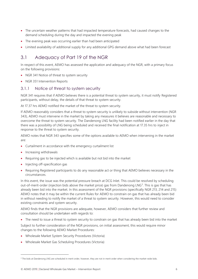- The uncertain weather patterns that had impacted temperature forecasts, had caused changes to the demand scheduling during the day and impacted the evening peak
- The evening peak was occurring earlier than had been anticipated
- Limited availability of additional supply for any additional GPG demand above what had been forecast

### <span id="page-5-0"></span>3.1 Adequacy of Part 19 of the NGR

In respect of this event, AEMO has assessed the application and adequacy of the NGR, with a primary focus on the following provisions:

- NGR 341 Notice of threat to system security
- NGR 351 Intervention Reports

#### <span id="page-5-1"></span>3.1.1 Notice of threat to system security

NGR 341 requires that if AEMO believes there is a potential threat to system security, it must notify Registered participants, without delay, the details of that threat to system security.

At 17.37 hrs AEMO notified the market of the threat to system security.

If AEMO reasonably considers that a threat to system security is unlikely to subside without intervention (NGR 343), AEMO must intervene in the market by taking any measures it believes are reasonable and necessary to overcome the threat to system security. The Dandenong LNG facility had been notified earlier in the day that there was a possibility of LNG being scheduled and received the final notification at 17.35 hrs to inject in response to the threat to system security.

AEMO notes that NGR 343 specifies some of the options available to AEMO when intervening in the market are:

- Curtailment in accordance with the emergency curtailment list
- Increasing withdrawals

 $\overline{a}$ 

- Requiring gas to be injected which is available but not bid into the market
- Injecting off-specification gas
- Requiring Registered participants to do any reasonable act or thing that AEMO believes necessary in the circumstances.

In this event, the issue was the potential pressure breach at DCG Inlet. This could be resolved by scheduling out-of-merit-order (injection bids above the market price) gas from Dandenong LNG<sup>3</sup>. This is gas that has already been bid into the market. In this assessment of the NGR provisions (specifically NGR 213, 214 and 215) AEMO notes that it may be within the current Rules for AEMO to constrain on gas that has already been bid in without needing to notify the market of a threat to system security. However, this would need to consider existing constraints and system security.

AEMO finds that the NGR provisions are adequate, however, AEMO considers that further review and consultation should be undertaken with regards to:

• The need to issue a threat to system security to constrain on gas that has already been bid into the market

Subject to further consideration of the NGR provisions, on initial assessment, this would require minor changes to the following AEMO Market Procedures:

- Wholesale Market System Security Procedures (Victoria)
- Wholesale Market Gas Scheduling Procedures (Victoria)

<sup>&</sup>lt;sup>3</sup> The bids at Dandenong LNG are scheduled in merit order, however, they are not in merit order when considering the market-wide bids.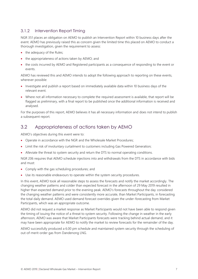#### <span id="page-6-0"></span>3.1.2 Intervention Report Timing

NGR 351 places an obligation on AEMO to publish an Intervention Report within 10 business days after the event. AEMO has previously raised this as concern given the limited time this placed on AEMO to conduct a thorough investigation, given the requirement to assess:

- the adequacy of the Rules;
- the appropriateness of actions taken by AEMO; and
- the costs incurred by AEMO and Registered participants as a consequence of responding to the event or events.

AEMO has reviewed this and AEMO intends to adopt the following approach to reporting on these events, wherever possible:

- Investigate and publish a report based on immediately available data within 10 business days of the relevant event.
- Where not all information necessary to complete the required assessment is available, that report will be flagged as preliminary, with a final report to be published once the additional information is received and analysed.

For the purposes of this report, AEMO believes it has all necessary information and does not intend to publish a subsequent report.

### <span id="page-6-1"></span>3.2 Appropriateness of actions taken by AEMO

AEMO's objectives during this event were to:

- Operate in accordance with the NGR and the Wholesale Market Procedures;
- Limit the risk of involuntary curtailment to customers including Gas Powered Generation;
- Alleviate the threat to system security and return the DTS to normal operating conditions.

NGR 206 requires that AEMO schedule injections into and withdrawals from the DTS in accordance with bids and must:

- Comply with the gas scheduling procedures; and
- Use its reasonable endeavours to operate within the system security procedures.

In this event, AEMO took all reasonable steps to assess the forecasts and notify the market accordingly. The changing weather patterns and colder than expected forecast in the afternoon of 29 May 2019 resulted in higher than expected demand prior to the evening peak. AEMO's forecasts throughout the day considered the changing weather patterns and were consistently more accurate, than Market Participants, in forecasting the total daily demand. AEMO used demand forecast overrides given the under-forecasting from Market Participants, which was an appropriate outcome.

AEMO did not request a market response as Market Participants would not have been able to respond given the timing of issuing the notice of a threat to system security. Following the change in weather in the early afternoon, AEMO was aware that Market Participants forecasts were tracking behind actual demand, and it may have been appropriate for AEMO to notify the market to review forecasts for the remainder of the day.

AEMO successfully produced a 6.00 pm schedule and maintained system security through the scheduling of out-of-merit-order gas from Dandenong LNG.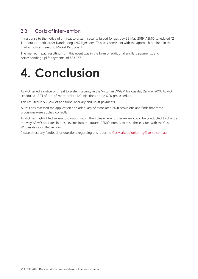### <span id="page-7-0"></span>3.3 Costs of intervention

In response to the notice of a threat to system security issued for gas day 29 May 2019, AEMO scheduled 12 TJ of out-of-merit-order Dandenong LNG injections. This was consistent with the approach outlined in the market notices issued to Market Participants.

The market impact resulting from this event was in the form of additional ancillary payments, and corresponding uplift payments, of \$33,267.

<span id="page-7-1"></span>

AEMO issued a notice of threat to system security in the Victorian DWGM for gas day 29 May 2019. AEMO scheduled 12 TJ of out-of-merit-order LNG injections at the 6.00 pm schedule.

This resulted in \$33,267 of additional ancillary and uplift payments.

AEMO has assessed the application and adequacy of associated NGR provisions and finds that these provisions were applied correctly.

AEMO has highlighted several provisions within the Rules where further review could be conducted to change the way AEMO operates in these events into the future. AEMO intends to raise these issues with the Gas Wholesale Consultative Form.

Please direct any feedback or questions regarding this report to [GasMarket.Monitoring@aemo.com.au.](mailto:GasMarket.Monitoring@aemo.com.au)